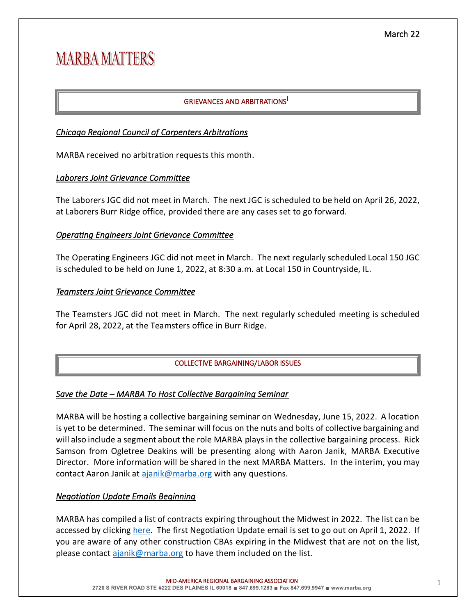# **MARBA MATTERS**

# GRIEVANCES AND ARBITRATIONS<sup>İ</sup>

# *Chicago Regional Council of Carpenters Arbitrations*

MARBA received no arbitration requests this month.

# *Laborers Joint Grievance Committee*

The Laborers JGC did not meet in March. The next JGC is scheduled to be held on April 26, 2022, at Laborers Burr Ridge office, provided there are any cases set to go forward.

# *Operating Engineers Joint Grievance Committee*

The Operating Engineers JGC did not meet in March. The next regularly scheduled Local 150 JGC is scheduled to be held on June 1, 2022, at 8:30 a.m. at Local 150 in Countryside, IL.

# *Teamsters Joint Grievance Committee*

The Teamsters JGC did not meet in March. The next regularly scheduled meeting is scheduled for April 28, 2022, at the Teamsters office in Burr Ridge.

# COLLECTIVE BARGAINING/LABOR ISSUES

# *Save the Date – MARBA To Host Collective Bargaining Seminar*

MARBA will be hosting a collective bargaining seminar on Wednesday, June 15, 2022. A location is yet to be determined. The seminar will focus on the nuts and bolts of collective bargaining and will also include a segment about the role MARBA plays in the collective bargaining process. Rick Samson from Ogletree Deakins will be presenting along with Aaron Janik, MARBA Executive Director. More information will be shared in the next MARBA Matters. In the interim, you may contact Aaron Janik at [ajanik@marba.org](mailto:ajanik@marba.org) with any questions.

# *Negotiation Update Emails Beginning*

MARBA has compiled a list of contracts expiring throughout the Midwest in 2022. The list can be accessed by clicking [here.](https://www.marba.org/_files/ugd/46cc69_a840b91fb9274831803e362575a6b000.pdf) The first Negotiation Update email is set to go out on April 1, 2022. If you are aware of any other construction CBAs expiring in the Midwest that are not on the list, please contact [ajanik@marba.org](mailto:ajanik@marba.org) to have them included on the list.

-AMERICA REGIONAL BARGAINING ASSOCIATION

MID 1 **2720 S RIVER ROAD STE #222 DES PLAINES IL 60018** ∎ **847.699.1283** ∎ **Fax 847.699.9947** ∎ **www.marba.org**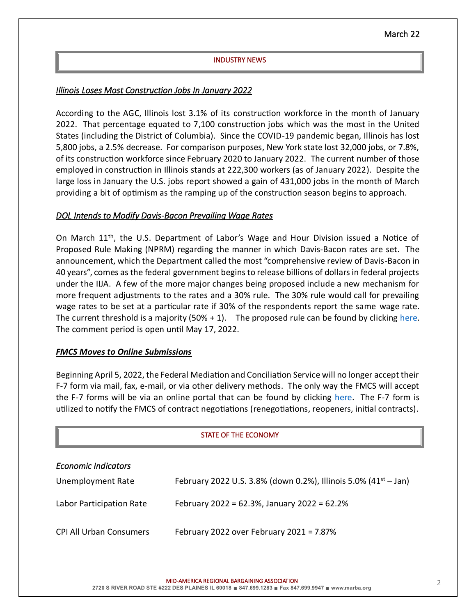## INDUSTRY NEWS

# *Illinois Loses Most Construction Jobs In January 2022*

According to the AGC, Illinois lost 3.1% of its construction workforce in the month of January 2022. That percentage equated to 7,100 construction jobs which was the most in the United States (including the District of Columbia). Since the COVID-19 pandemic began, Illinois has lost 5,800 jobs, a 2.5% decrease. For comparison purposes, New York state lost 32,000 jobs, or 7.8%, of its construction workforce since February 2020 to January 2022. The current number of those employed in construction in Illinois stands at 222,300 workers (as of January 2022). Despite the large loss in January the U.S. jobs report showed a gain of 431,000 jobs in the month of March providing a bit of optimism as the ramping up of the construction season begins to approach.

## *DOL Intends to Modify Davis-Bacon Prevailing Wage Rates*

On March  $11<sup>th</sup>$ , the U.S. Department of Labor's Wage and Hour Division issued a Notice of Proposed Rule Making (NPRM) regarding the manner in which Davis-Bacon rates are set. The announcement, which the Department called the most "comprehensive review of Davis-Bacon in 40 years", comes as the federal government begins to release billions of dollars in federal projects under the IIJA. A few of the more major changes being proposed include a new mechanism for more frequent adjustments to the rates and a 30% rule. The 30% rule would call for prevailing wage rates to be set at a particular rate if 30% of the respondents report the same wage rate. The current threshold is a majority  $(50% + 1)$ . The proposed rule can be found by clicking [here.](https://www.federalregister.gov/documents/2022/03/18/2022-05346/updating-the-davis-bacon-and-related-acts-regulations) The comment period is open until May 17, 2022.

### *FMCS Moves to Online Submissions*

Beginning April 5, 2022, the Federal Mediation and Conciliation Service will no longer accept their F-7 form via mail, fax, e-mail, or via other delivery methods. The only way the FMCS will accept the F-7 forms will be via an online portal that can be found by clicking [here.](https://f7-form.azurewebsites.net/) The F-7 form is utilized to notify the FMCS of contract negotiations (renegotiations, reopeners, initial contracts).

| STATE OF THE ECONOMY           |                                                                             |  |  |
|--------------------------------|-----------------------------------------------------------------------------|--|--|
| <b>Economic Indicators</b>     |                                                                             |  |  |
| Unemployment Rate              | February 2022 U.S. 3.8% (down 0.2%), Illinois 5.0% (41 <sup>st</sup> – Jan) |  |  |
| Labor Participation Rate       | February 2022 = 62.3%, January 2022 = 62.2%                                 |  |  |
| <b>CPI All Urban Consumers</b> | February 2022 over February 2021 = $7.87\%$                                 |  |  |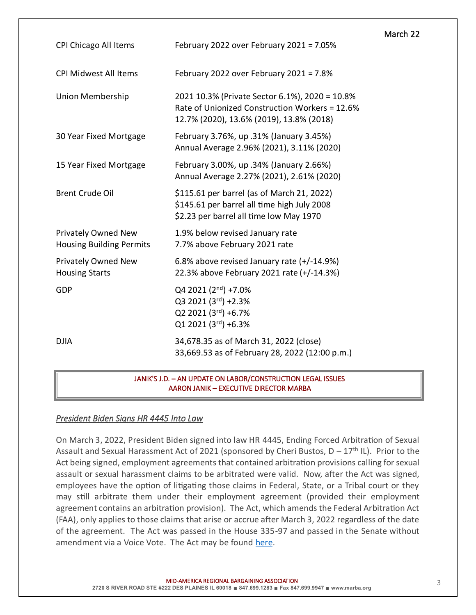| <b>CPI Chicago All Items</b>                           | February 2022 over February 2021 = $7.05\%$                                                                                                  | March 22 |
|--------------------------------------------------------|----------------------------------------------------------------------------------------------------------------------------------------------|----------|
| <b>CPI Midwest All Items</b>                           | February 2022 over February 2021 = $7.8\%$                                                                                                   |          |
| Union Membership                                       | 2021 10.3% (Private Sector 6.1%), 2020 = 10.8%<br>Rate of Unionized Construction Workers = 12.6%<br>12.7% (2020), 13.6% (2019), 13.8% (2018) |          |
| 30 Year Fixed Mortgage                                 | February 3.76%, up .31% (January 3.45%)<br>Annual Average 2.96% (2021), 3.11% (2020)                                                         |          |
| 15 Year Fixed Mortgage                                 | February 3.00%, up .34% (January 2.66%)<br>Annual Average 2.27% (2021), 2.61% (2020)                                                         |          |
| <b>Brent Crude Oil</b>                                 | \$115.61 per barrel (as of March 21, 2022)<br>\$145.61 per barrel all time high July 2008<br>\$2.23 per barrel all time low May 1970         |          |
| Privately Owned New<br><b>Housing Building Permits</b> | 1.9% below revised January rate<br>7.7% above February 2021 rate                                                                             |          |
| Privately Owned New<br><b>Housing Starts</b>           | 6.8% above revised January rate (+/-14.9%)<br>22.3% above February 2021 rate (+/-14.3%)                                                      |          |
| <b>GDP</b>                                             | Q4 2021 (2nd) +7.0%<br>Q3 2021 (3rd) +2.3%<br>Q2 2021 (3rd) +6.7%<br>Q1 2021 (3rd) +6.3%                                                     |          |
| <b>DJIA</b>                                            | 34,678.35 as of March 31, 2022 (close)<br>33,669.53 as of February 28, 2022 (12:00 p.m.)                                                     |          |

#### JANIK'S J.D. – AN UPDATE ON LABOR/CONSTRUCTION LEGAL ISSUES AARON JANIK – EXECUTIVE DIRECTOR MARBA

# *President Biden Signs HR 4445 Into Law*

On March 3, 2022, President Biden signed into law HR 4445, Ending Forced Arbitration of Sexual Assault and Sexual Harassment Act of 2021 (sponsored by Cheri Bustos,  $D - 17<sup>th</sup>$  IL). Prior to the Act being signed, employment agreements that contained arbitration provisions calling for sexual assault or sexual harassment claims to be arbitrated were valid. Now, after the Act was signed, employees have the option of litigating those claims in Federal, State, or a Tribal court or they may still arbitrate them under their employment agreement (provided their employment agreement contains an arbitration provision). The Act, which amends the Federal Arbitration Act (FAA), only applies to those claims that arise or accrue after March 3, 2022 regardless of the date of the agreement. The Act was passed in the House 335-97 and passed in the Senate without amendment via a Voice Vote. The Act may be found [here.](https://www.congress.gov/117/plaws/publ90/PLAW-117publ90.pdf)